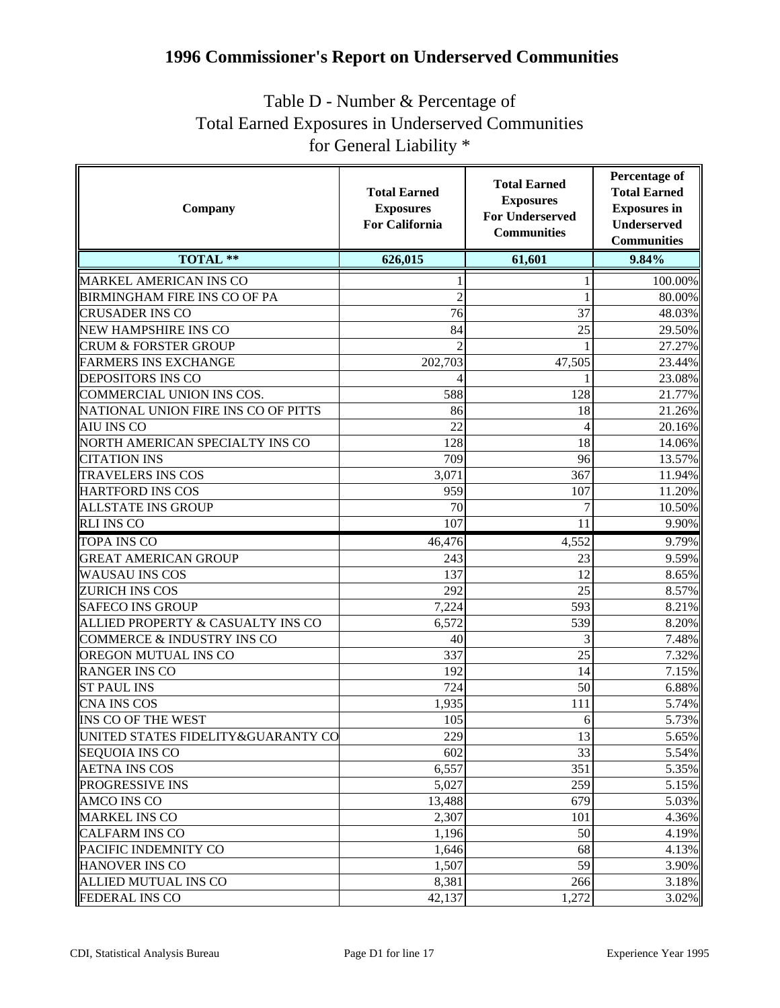## **1996 Commissioner's Report on Underserved Communities**

## Table D - Number & Percentage of Total Earned Exposures in Underserved Communities for General Liability \*

| Company                             | <b>Total Earned</b><br><b>Exposures</b><br><b>For California</b> | <b>Total Earned</b><br><b>Exposures</b><br><b>For Underserved</b><br><b>Communities</b> | Percentage of<br><b>Total Earned</b><br><b>Exposures</b> in<br><b>Underserved</b><br><b>Communities</b> |
|-------------------------------------|------------------------------------------------------------------|-----------------------------------------------------------------------------------------|---------------------------------------------------------------------------------------------------------|
| <b>TOTAL **</b>                     | 626,015                                                          | 61,601                                                                                  | 9.84%                                                                                                   |
| MARKEL AMERICAN INS CO              |                                                                  |                                                                                         | 100.00%                                                                                                 |
| BIRMINGHAM FIRE INS CO OF PA        | 2                                                                |                                                                                         | 80.00%                                                                                                  |
| <b>CRUSADER INS CO</b>              | 76                                                               | 37                                                                                      | 48.03%                                                                                                  |
| NEW HAMPSHIRE INS CO                | 84                                                               | 25                                                                                      | 29.50%                                                                                                  |
| <b>CRUM &amp; FORSTER GROUP</b>     |                                                                  |                                                                                         | 27.27%                                                                                                  |
| <b>FARMERS INS EXCHANGE</b>         | 202,703                                                          | 47,505                                                                                  | 23.44%                                                                                                  |
| DEPOSITORS INS CO                   |                                                                  |                                                                                         | 23.08%                                                                                                  |
| COMMERCIAL UNION INS COS.           | 588                                                              | 128                                                                                     | 21.77%                                                                                                  |
| NATIONAL UNION FIRE INS CO OF PITTS | 86                                                               | 18                                                                                      | 21.26%                                                                                                  |
| AIU INS CO                          | 22                                                               | 4                                                                                       | 20.16%                                                                                                  |
| NORTH AMERICAN SPECIALTY INS CO     | 128                                                              | 18                                                                                      | 14.06%                                                                                                  |
| <b>CITATION INS</b>                 | 709                                                              | 96                                                                                      | 13.57%                                                                                                  |
| <b>TRAVELERS INS COS</b>            | 3,071                                                            | 367                                                                                     | 11.94%                                                                                                  |
| <b>HARTFORD INS COS</b>             | 959                                                              | 107                                                                                     | 11.20%                                                                                                  |
| <b>ALLSTATE INS GROUP</b>           | 70                                                               | 7                                                                                       | 10.50%                                                                                                  |
| <b>RLI INS CO</b>                   | 107                                                              | 11                                                                                      | 9.90%                                                                                                   |
| TOPA INS CO                         | 46,476                                                           | 4,552                                                                                   | 9.79%                                                                                                   |
| <b>GREAT AMERICAN GROUP</b>         | 243                                                              | 23                                                                                      | 9.59%                                                                                                   |
| <b>WAUSAU INS COS</b>               | 137                                                              | 12                                                                                      | 8.65%                                                                                                   |
| ZURICH INS COS                      | 292                                                              | 25                                                                                      | 8.57%                                                                                                   |
| <b>SAFECO INS GROUP</b>             | 7,224                                                            | 593                                                                                     | 8.21%                                                                                                   |
| ALLIED PROPERTY & CASUALTY INS CO   | 6,572                                                            | 539                                                                                     | 8.20%                                                                                                   |
| COMMERCE & INDUSTRY INS CO          | 40                                                               | 3                                                                                       | 7.48%                                                                                                   |
| OREGON MUTUAL INS CO                | 337                                                              | 25                                                                                      | 7.32%                                                                                                   |
| <b>RANGER INS CO</b>                | 192                                                              | 14                                                                                      | 7.15%                                                                                                   |
| <b>ST PAUL INS</b>                  | 724                                                              | 50                                                                                      | 6.88%                                                                                                   |
| CNA INS COS                         | 1,935                                                            | 111                                                                                     | 5.74%                                                                                                   |
| INS CO OF THE WEST                  | 105                                                              | 6                                                                                       | 5.73%                                                                                                   |
| UNITED STATES FIDELITY&GUARANTY CO  | 229                                                              | 13                                                                                      | 5.65%                                                                                                   |
| <b>SEQUOIA INS CO</b>               | 602                                                              | 33                                                                                      | 5.54%                                                                                                   |
| <b>AETNA INS COS</b>                | 6,557                                                            | 351                                                                                     | 5.35%                                                                                                   |
| PROGRESSIVE INS                     | 5,027                                                            | 259                                                                                     | 5.15%                                                                                                   |
| AMCO INS CO                         | 13,488                                                           | 679                                                                                     | 5.03%                                                                                                   |
| <b>MARKEL INS CO</b>                | 2,307                                                            | 101                                                                                     | 4.36%                                                                                                   |
| <b>CALFARM INS CO</b>               | 1,196                                                            | 50                                                                                      | 4.19%                                                                                                   |
| PACIFIC INDEMNITY CO                | 1,646                                                            | 68                                                                                      | 4.13%                                                                                                   |
| <b>HANOVER INS CO</b>               | 1,507                                                            | 59                                                                                      | 3.90%                                                                                                   |
| ALLIED MUTUAL INS CO                | 8,381                                                            | 266                                                                                     | 3.18%                                                                                                   |
| <b>FEDERAL INS CO</b>               | 42,137                                                           | 1,272                                                                                   | 3.02%                                                                                                   |